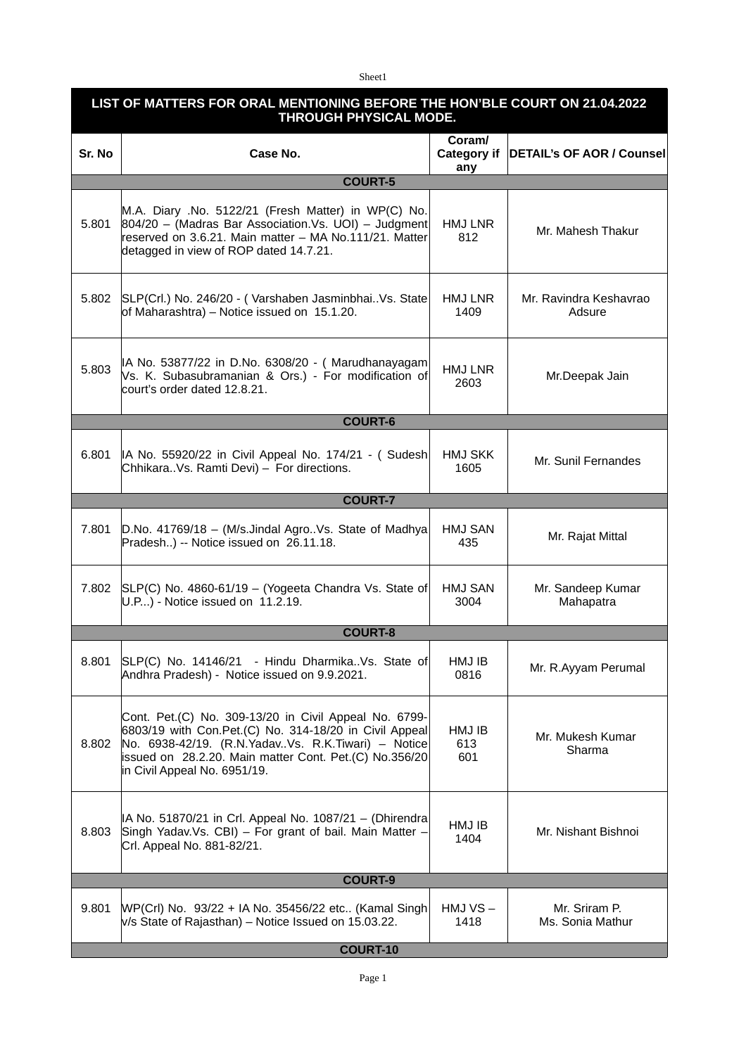## Sheet1

## **LIST OF MATTERS FOR ORAL MENTIONING BEFORE THE HON'BLE COURT ON 21.04.2022 THROUGH PHYSICAL MODE.**

| Sr. No          | Case No.                                                                                                                                                                                                                                                            | Coram/<br>Category if<br>any | <b>DETAIL's OF AOR / Counsel</b>  |  |
|-----------------|---------------------------------------------------------------------------------------------------------------------------------------------------------------------------------------------------------------------------------------------------------------------|------------------------------|-----------------------------------|--|
|                 | <b>COURT-5</b>                                                                                                                                                                                                                                                      |                              |                                   |  |
| 5.801           | M.A. Diary .No. 5122/21 (Fresh Matter) in WP(C) No.<br>$ 804/20 - (Madras Bar Association.Vs. UOI) - Judgment $<br>reserved on 3.6.21. Main matter - MA No.111/21. Matter<br>detagged in view of ROP dated 14.7.21.                                                 | HMJ LNR<br>812               | Mr. Mahesh Thakur                 |  |
| 5.802           | SLP(Crl.) No. 246/20 - (Varshaben JasminbhaiVs. State<br>of Maharashtra) – Notice issued on 15.1.20.                                                                                                                                                                | HMJ LNR<br>1409              | Mr. Ravindra Keshavrao<br>Adsure  |  |
| 5.803           | IA No. 53877/22 in D.No. 6308/20 - (Marudhanayagam<br>Vs. K. Subasubramanian & Ors.) - For modification of<br>court's order dated 12.8.21.                                                                                                                          | HMJ LNR<br>2603              | Mr.Deepak Jain                    |  |
|                 | <b>COURT-6</b>                                                                                                                                                                                                                                                      |                              |                                   |  |
| 6.801           | IA No. 55920/22 in Civil Appeal No. 174/21 - (Sudesh)<br>ChhikaraVs. Ramti Devi) - For directions.                                                                                                                                                                  | <b>HMJ SKK</b><br>1605       | Mr. Sunil Fernandes               |  |
|                 | <b>COURT-7</b>                                                                                                                                                                                                                                                      |                              |                                   |  |
| 7.801           | D.No. 41769/18 - (M/s.Jindal AgroVs. State of Madhya<br>Pradesh) -- Notice issued on 26.11.18.                                                                                                                                                                      | <b>HMJ SAN</b><br>435        | Mr. Rajat Mittal                  |  |
| 7.802           | SLP(C) No. 4860-61/19 - (Yogeeta Chandra Vs. State of<br>$U.P$ ) - Notice issued on 11.2.19.                                                                                                                                                                        | HMJ SAN<br>3004              | Mr. Sandeep Kumar<br>Mahapatra    |  |
| <b>COURT-8</b>  |                                                                                                                                                                                                                                                                     |                              |                                   |  |
| 8.801           | SLP(C) No. 14146/21 - Hindu Dharmika. Vs. State of<br>Andhra Pradesh) - Notice issued on 9.9.2021.                                                                                                                                                                  | HMJ IB<br>0816               | Mr. R.Ayyam Perumal               |  |
| 8.802           | Cont. Pet.(C) No. 309-13/20 in Civil Appeal No. 6799-<br>6803/19 with Con.Pet.(C) No. 314-18/20 in Civil Appeal<br>No. 6938-42/19. (R.N. Yadav. Vs. R.K. Tiwari) - Notice<br>issued on 28.2.20. Main matter Cont. Pet.(C) No.356/20<br>in Civil Appeal No. 6951/19. | HMJ IB<br>613<br>601         | Mr. Mukesh Kumar<br>Sharma        |  |
| 8.803           | IA No. 51870/21 in Crl. Appeal No. 1087/21 - (Dhirendra<br>Singh Yadav.Vs. CBI) - For grant of bail. Main Matter -<br>Crl. Appeal No. 881-82/21.                                                                                                                    | HMJ IB<br>1404               | Mr. Nishant Bishnoi               |  |
| <b>COURT-9</b>  |                                                                                                                                                                                                                                                                     |                              |                                   |  |
| 9.801           | WP(Crl) No. 93/22 + IA No. 35456/22 etc (Kamal Singh<br>$V/S$ State of Rajasthan) – Notice Issued on 15.03.22.                                                                                                                                                      | $HMJVS -$<br>1418            | Mr. Sriram P.<br>Ms. Sonia Mathur |  |
| <b>COURT-10</b> |                                                                                                                                                                                                                                                                     |                              |                                   |  |